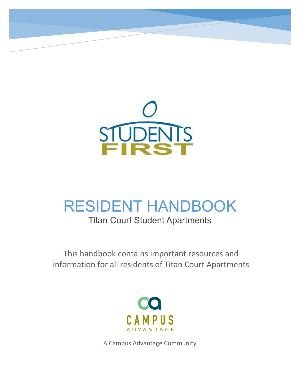

# RESIDENT HANDBOOK

# Titan Court Student Apartments

This handbook contains important resources and information for all residents of Titan Court Apartments



A Campus Advantage Community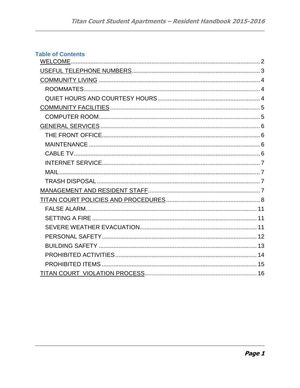| <b>Table of Contents</b> |  |
|--------------------------|--|
|                          |  |
|                          |  |
|                          |  |
|                          |  |
|                          |  |
|                          |  |
|                          |  |
|                          |  |
|                          |  |
|                          |  |
|                          |  |
|                          |  |
|                          |  |
|                          |  |
|                          |  |
|                          |  |
|                          |  |
|                          |  |
|                          |  |
|                          |  |
|                          |  |
|                          |  |
|                          |  |
|                          |  |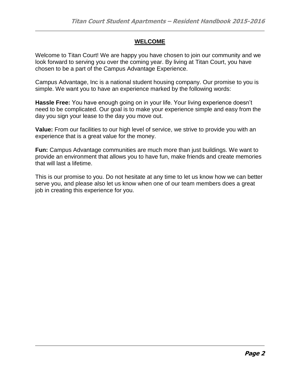#### **WELCOME**

Welcome to Titan Court! We are happy you have chosen to join our community and we look forward to serving you over the coming year. By living at Titan Court, you have chosen to be a part of the Campus Advantage Experience.

Campus Advantage, Inc is a national student housing company. Our promise to you is simple. We want you to have an experience marked by the following words:

**Hassle Free:** You have enough going on in your life. Your living experience doesn't need to be complicated. Our goal is to make your experience simple and easy from the day you sign your lease to the day you move out.

**Value:** From our facilities to our high level of service, we strive to provide you with an experience that is a great value for the money.

**Fun:** Campus Advantage communities are much more than just buildings. We want to provide an environment that allows you to have fun, make friends and create memories that will last a lifetime.

This is our promise to you. Do not hesitate at any time to let us know how we can better serve you, and please also let us know when one of our team members does a great job in creating this experience for you.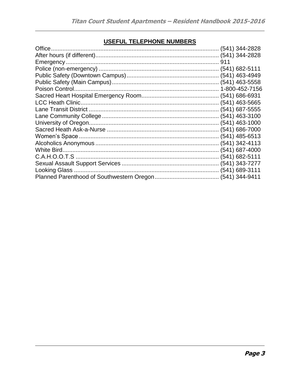# USEFUL TELEPHONE NUMBERS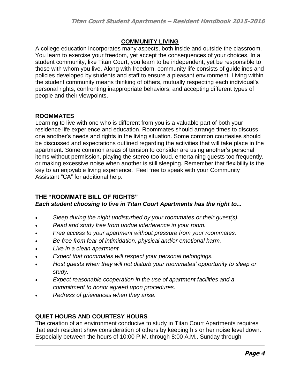#### **COMMUNITY LIVING**

A college education incorporates many aspects, both inside and outside the classroom. You learn to exercise your freedom, yet accept the consequences of your choices. In a student community, like Titan Court, you learn to be independent, yet be responsible to those with whom you live. Along with freedom, community life consists of guidelines and policies developed by students and staff to ensure a pleasant environment. Living within the student community means thinking of others, mutually respecting each individual's personal rights, confronting inappropriate behaviors, and accepting different types of people and their viewpoints.

#### **ROOMMATES**

Learning to live with one who is different from you is a valuable part of both your residence life experience and education. Roommates should arrange times to discuss one another's needs and rights in the living situation. Some common courtesies should be discussed and expectations outlined regarding the activities that will take place in the apartment. Some common areas of tension to consider are using another's personal items without permission, playing the stereo too loud, entertaining guests too frequently, or making excessive noise when another is still sleeping. Remember that flexibility is the key to an enjoyable living experience. Feel free to speak with your Community Assistant "CA" for additional help.

#### **THE "ROOMMATE BILL OF RIGHTS"** *Each student choosing to live in Titan Court Apartments has the right to...*

- *Sleep during the night undisturbed by your roommates or their guest(s).*
- *Read and study free from undue interference in your room.*
- *Free access to your apartment without pressure from your roommates.*
- *Be free from fear of intimidation, physical and/or emotional harm.*
- *Live in a clean apartment.*
- *Expect that roommates will respect your personal belongings.*
- *Host guests when they will not disturb your roommates' opportunity to sleep or study.*
- *Expect reasonable cooperation in the use of apartment facilities and a commitment to honor agreed upon procedures.*
- *Redress of grievances when they arise.*

#### **QUIET HOURS AND COURTESY HOURS**

The creation of an environment conducive to study in Titan Court Apartments requires that each resident show consideration of others by keeping his or her noise level down. Especially between the hours of 10:00 P.M. through 8:00 A.M., Sunday through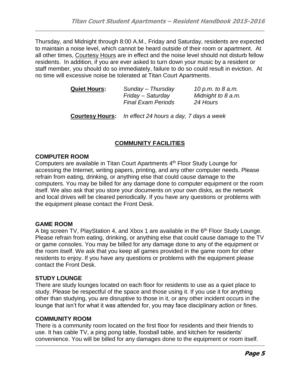Thursday, and Midnight through 8:00 A.M., Friday and Saturday, residents are expected to maintain a noise level, which cannot be heard outside of their room or apartment. At all other times, Courtesy Hours are in effect and the noise level should not disturb fellow residents. In addition, if you are ever asked to turn down your music by a resident or staff member, you should do so immediately, failure to do so could result in eviction. At no time will excessive noise be tolerated at Titan Court Apartments.

| <b>Quiet Hours:</b> | Sunday - Thursday         | 10 p.m. to 8 a.m.  |
|---------------------|---------------------------|--------------------|
|                     | Friday – Saturday         | Midnight to 8 a.m. |
|                     | <b>Final Exam Periods</b> | 24 Hours           |
|                     |                           |                    |

**Courtesy Hours:** *In effect 24 hours a day, 7 days a week*

# **COMMUNITY FACILITIES**

#### **COMPUTER ROOM**

Computers are available in Titan Court Apartments 4<sup>th</sup> Floor Study Lounge for accessing the Internet, writing papers, printing, and any other computer needs. Please refrain from eating, drinking, or anything else that could cause damage to the computers. You may be billed for any damage done to computer equipment or the room itself. We also ask that you store your documents on your own disks, as the network and local drives will be cleared periodically. If you have any questions or problems with the equipment please contact the Front Desk.

#### **GAME ROOM**

A big screen TV, PlayStation 4, and Xbox 1 are available in the 6<sup>th</sup> Floor Study Lounge. Please refrain from eating, drinking, or anything else that could cause damage to the TV or game consoles. You may be billed for any damage done to any of the equipment or the room itself. We ask that you keep all games provided in the game room for other residents to enjoy. If you have any questions or problems with the equipment please contact the Front Desk.

#### **STUDY LOUNGE**

There are study lounges located on each floor for residents to use as a quiet place to study. Please be respectful of the space and those using it. If you use it for anything other than studying, you are disruptive to those in it, or any other incident occurs in the lounge that isn't for what it was attended for, you may face disciplinary action or fines.

#### **COMMUNITY ROOM**

There is a community room located on the first floor for residents and their friends to use. It has cable TV, a ping pong table, foosball table, and kitchen for residents' convenience. You will be billed for any damages done to the equipment or room itself.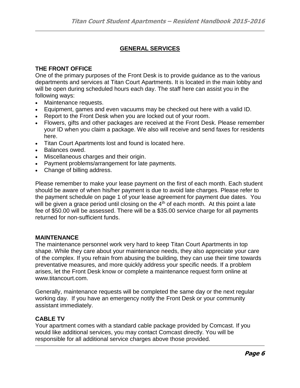# **GENERAL SERVICES**

#### **THE FRONT OFFICE**

One of the primary purposes of the Front Desk is to provide guidance as to the various departments and services at Titan Court Apartments. It is located in the main lobby and will be open during scheduled hours each day. The staff here can assist you in the following ways:

- Maintenance requests.
- Equipment, games and even vacuums may be checked out here with a valid ID.
- Report to the Front Desk when you are locked out of your room.
- Flowers, gifts and other packages are received at the Front Desk. Please remember your ID when you claim a package. We also will receive and send faxes for residents here.
- Titan Court Apartments lost and found is located here.
- Balances owed.
- Miscellaneous charges and their origin.
- Payment problems/arrangement for late payments.
- Change of billing address.

Please remember to make your lease payment on the first of each month. Each student should be aware of when his/her payment is due to avoid late charges. Please refer to the payment schedule on page 1 of your lease agreement for payment due dates. You will be given a grace period until closing on the  $4<sup>th</sup>$  of each month. At this point a late fee of \$50.00 will be assessed. There will be a \$35.00 service charge for all payments returned for non-sufficient funds.

#### **MAINTENANCE**

The maintenance personnel work very hard to keep Titan Court Apartments in top shape. While they care about your maintenance needs, they also appreciate your care of the complex. If you refrain from abusing the building, they can use their time towards preventative measures, and more quickly address your specific needs. If a problem arises, let the Front Desk know or complete a maintenance request form online at www.titancourt.com.

Generally, maintenance requests will be completed the same day or the next regular working day. If you have an emergency notify the Front Desk or your community assistant immediately.

#### **CABLE TV**

Your apartment comes with a standard cable package provided by Comcast. If you would like additional services, you may contact Comcast directly. You will be responsible for all additional service charges above those provided.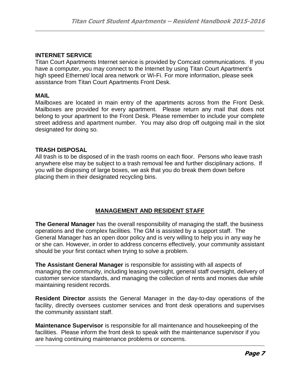#### **INTERNET SERVICE**

Titan Court Apartments Internet service is provided by Comcast communications. If you have a computer, you may connect to the Internet by using Titan Court Apartment's high speed Ethernet/ local area network or Wi-Fi. For more information, please seek assistance from Titan Court Apartments Front Desk.

#### **MAIL**

Mailboxes are located in main entry of the apartments across from the Front Desk. Mailboxes are provided for every apartment. Please return any mail that does not belong to your apartment to the Front Desk. Please remember to include your complete street address and apartment number. You may also drop off outgoing mail in the slot designated for doing so.

#### **TRASH DISPOSAL**

All trash is to be disposed of in the trash rooms on each floor. Persons who leave trash anywhere else may be subject to a trash removal fee and further disciplinary actions. If you will be disposing of large boxes, we ask that you do break them down before placing them in their designated recycling bins.

#### **MANAGEMENT AND RESIDENT STAFF**

**The General Manager** has the overall responsibility of managing the staff, the business operations and the complex facilities. The GM is assisted by a support staff. The General Manager has an open door policy and is very willing to help you in any way he or she can. However, in order to address concerns effectively, your community assistant should be your first contact when trying to solve a problem.

**The Assistant General Manager** is responsible for assisting with all aspects of managing the community, including leasing oversight, general staff oversight, delivery of customer service standards, and managing the collection of rents and monies due while maintaining resident records.

**Resident Director** assists the General Manager in the day-to-day operations of the facility, directly oversees customer services and front desk operations and supervises the community assistant staff.

**Maintenance Supervisor** is responsible for all maintenance and housekeeping of the facilities. Please inform the front desk to speak with the maintenance supervisor if you are having continuing maintenance problems or concerns.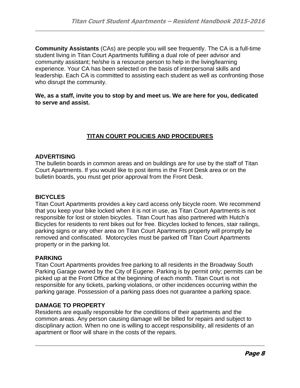**Community Assistants** (CAs) are people you will see frequently. The CA is a full-time student living in Titan Court Apartments fulfilling a dual role of peer advisor and community assistant; he/she is a resource person to help in the living/learning experience. Your CA has been selected on the basis of interpersonal skills and leadership. Each CA is committed to assisting each student as well as confronting those who disrupt the community.

#### **We, as a staff, invite you to stop by and meet us. We are here for you, dedicated to serve and assist.**

# **TITAN COURT POLICIES AND PROCEDURES**

#### **ADVERTISING**

The bulletin boards in common areas and on buildings are for use by the staff of Titan Court Apartments. If you would like to post items in the Front Desk area or on the bulletin boards, you must get prior approval from the Front Desk.

#### **BICYCLES**

Titan Court Apartments provides a key card access only bicycle room. We recommend that you keep your bike locked when it is not in use, as Titan Court Apartments is not responsible for lost or stolen bicycles. Titan Court has also partnered with Hutch's Bicycles for residents to rent bikes out for free. Bicycles locked to fences, stair railings, parking signs or any other area on Titan Court Apartments property will promptly be removed and confiscated. Motorcycles must be parked off Titan Court Apartments property or in the parking lot.

#### **PARKING**

Titan Court Apartments provides free parking to all residents in the Broadway South Parking Garage owned by the City of Eugene. Parking is by permit only; permits can be picked up at the Front Office at the beginning of each month. Titan Court is not responsible for any tickets, parking violations, or other incidences occurring within the parking garage. Possession of a parking pass does not guarantee a parking space.

#### **DAMAGE TO PROPERTY**

Residents are equally responsible for the conditions of their apartments and the common areas. Any person causing damage will be billed for repairs and subject to disciplinary action. When no one is willing to accept responsibility, all residents of an apartment or floor will share in the costs of the repairs.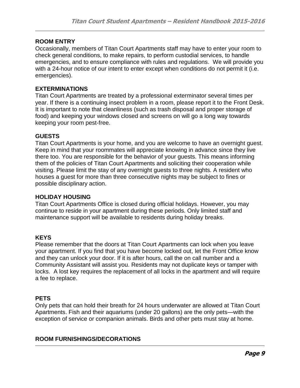#### **ROOM ENTRY**

Occasionally, members of Titan Court Apartments staff may have to enter your room to check general conditions, to make repairs, to perform custodial services, to handle emergencies, and to ensure compliance with rules and regulations. We will provide you with a 24-hour notice of our intent to enter except when conditions do not permit it (i.e. emergencies).

#### **EXTERMINATIONS**

Titan Court Apartments are treated by a professional exterminator several times per year. If there is a continuing insect problem in a room, please report it to the Front Desk. It is important to note that cleanliness (such as trash disposal and proper storage of food) and keeping your windows closed and screens on will go a long way towards keeping your room pest-free.

#### **GUESTS**

Titan Court Apartments is your home, and you are welcome to have an overnight guest. Keep in mind that your roommates will appreciate knowing in advance since they live there too. You are responsible for the behavior of your guests. This means informing them of the policies of Titan Court Apartments and soliciting their cooperation while visiting. Please limit the stay of any overnight guests to three nights. A resident who houses a guest for more than three consecutive nights may be subject to fines or possible disciplinary action.

#### **HOLIDAY HOUSING**

Titan Court Apartments Office is closed during official holidays. However, you may continue to reside in your apartment during these periods. Only limited staff and maintenance support will be available to residents during holiday breaks.

#### **KEYS**

Please remember that the doors at Titan Court Apartments can lock when you leave your apartment. If you find that you have become locked out, let the Front Office know and they can unlock your door. If it is after hours, call the on call number and a Community Assistant will assist you. Residents may not duplicate keys or tamper with locks. A lost key requires the replacement of all locks in the apartment and will require a fee to replace.

#### **PETS**

Only pets that can hold their breath for 24 hours underwater are allowed at Titan Court Apartments. Fish and their aquariums (under 20 gallons) are the only pets—with the exception of service or companion animals. Birds and other pets must stay at home.

#### **ROOM FURNISHINGS/DECORATIONS**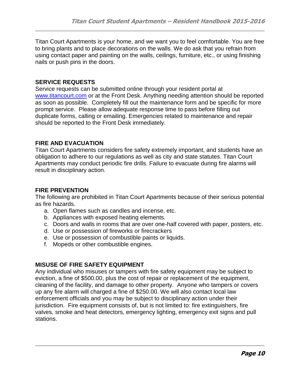Titan Court Apartments is your home, and we want you to feel comfortable. You are free to bring plants and to place decorations on the walls. We do ask that you refrain from using contact paper and painting on the walls, ceilings, furniture, etc., or using finishing nails or push pins in the doors.

#### **SERVICE REQUESTS**

Service requests can be submitted online through your resident portal at [www.titancourt.com](http://www.titancourt.com/) or at the Front Desk. Anything needing attention should be reported as soon as possible. Completely fill out the maintenance form and be specific for more prompt service. Please allow adequate response time to pass before filling out duplicate forms, calling or emailing. Emergencies related to maintenance and repair should be reported to the Front Desk immediately.

#### **FIRE AND EVACUATION**

Titan Court Apartments considers fire safety extremely important, and students have an obligation to adhere to our regulations as well as city and state statutes. Titan Court Apartments may conduct periodic fire drills. Failure to evacuate during fire alarms will result in disciplinary action.

#### **FIRE PREVENTION**

The following are prohibited in Titan Court Apartments because of their serious potential as fire hazards.

- a. Open flames such as candles and incense, etc.
- b. Appliances with exposed heating elements.
- c. Doors and walls in rooms that are over one-half covered with paper, posters, etc.
- d. Use or possession of fireworks or firecrackers
- e. Use or possession of combustible paints or liquids.
- f. Mopeds or other combustible engines.

# **MISUSE OF FIRE SAFETY EQUIPMENT**

Any individual who misuses or tampers with fire safety equipment may be subject to eviction, a fine of \$500.00, plus the cost of repair or replacement of the equipment, cleaning of the facility, and damage to other property. Anyone who tampers or covers up any fire alarm will charged a fine of \$250.00. We will also contact local law enforcement officials and you may be subject to disciplinary action under their jurisdiction. Fire equipment consists of, but is not limited to: fire extinguishers, fire valves, smoke and heat detectors, emergency lighting, emergency exit signs and pull stations.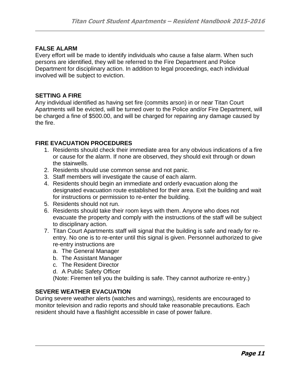#### **FALSE ALARM**

Every effort will be made to identify individuals who cause a false alarm. When such persons are identified, they will be referred to the Fire Department and Police Department for disciplinary action. In addition to legal proceedings, each individual involved will be subject to eviction.

#### **SETTING A FIRE**

Any individual identified as having set fire (commits arson) in or near Titan Court Apartments will be evicted, will be turned over to the Police and/or Fire Department, will be charged a fine of \$500.00, and will be charged for repairing any damage caused by the fire.

#### **FIRE EVACUATION PROCEDURES**

- 1. Residents should check their immediate area for any obvious indications of a fire or cause for the alarm. If none are observed, they should exit through or down the stairwells.
- 2. Residents should use common sense and not panic.
- 3. Staff members will investigate the cause of each alarm.
- 4. Residents should begin an immediate and orderly evacuation along the designated evacuation route established for their area. Exit the building and wait for instructions or permission to re-enter the building.
- 5. Residents should not run.
- 6. Residents should take their room keys with them. Anyone who does not evacuate the property and comply with the instructions of the staff will be subject to disciplinary action.
- 7. Titan Court Apartments staff will signal that the building is safe and ready for reentry. No one is to re-enter until this signal is given. Personnel authorized to give re-entry instructions are
	- a. The General Manager
	- b. The Assistant Manager
	- c. The Resident Director
	- d. A Public Safety Officer

(Note: Firemen tell you the building is safe. They cannot authorize re-entry.)

#### **SEVERE WEATHER EVACUATION**

During severe weather alerts (watches and warnings), residents are encouraged to monitor television and radio reports and should take reasonable precautions. Each resident should have a flashlight accessible in case of power failure.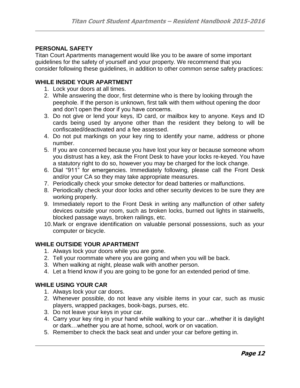#### **PERSONAL SAFETY**

Titan Court Apartments management would like you to be aware of some important guidelines for the safety of yourself and your property. We recommend that you consider following these guidelines, in addition to other common sense safety practices:

#### **WHILE INSIDE YOUR APARTMENT**

- 1. Lock your doors at all times.
- 2. While answering the door, first determine who is there by looking through the peephole. If the person is unknown, first talk with them without opening the door and don't open the door if you have concerns.
- 3. Do not give or lend your keys, ID card, or mailbox key to anyone. Keys and ID cards being used by anyone other than the resident they belong to will be confiscated/deactivated and a fee assessed.
- 4. Do not put markings on your key ring to identify your name, address or phone number.
- 5. If you are concerned because you have lost your key or because someone whom you distrust has a key, ask the Front Desk to have your locks re-keyed. You have a statutory right to do so, however you may be charged for the lock change.
- 6. Dial "911" for emergencies. Immediately following, please call the Front Desk and/or your CA so they may take appropriate measures.
- 7. Periodically check your smoke detector for dead batteries or malfunctions.
- 8. Periodically check your door locks and other security devices to be sure they are working properly.
- 9. Immediately report to the Front Desk in writing any malfunction of other safety devices outside your room, such as broken locks, burned out lights in stairwells, blocked passage ways, broken railings, etc.
- 10.Mark or engrave identification on valuable personal possessions, such as your computer or bicycle.

#### **WHILE OUTSIDE YOUR APARTMENT**

- 1. Always lock your doors while you are gone.
- 2. Tell your roommate where you are going and when you will be back.
- 3. When walking at night, please walk with another person.
- 4. Let a friend know if you are going to be gone for an extended period of time.

#### **WHILE USING YOUR CAR**

- 1. Always lock your car doors.
- 2. Whenever possible, do not leave any visible items in your car, such as music players, wrapped packages, book-bags, purses, etc.
- 3. Do not leave your keys in your car.
- 4. Carry your key ring in your hand while walking to your car…whether it is daylight or dark…whether you are at home, school, work or on vacation.
- 5. Remember to check the back seat and under your car before getting in.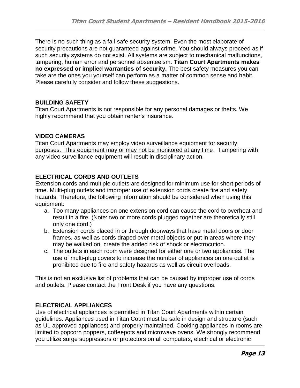There is no such thing as a fail-safe security system. Even the most elaborate of security precautions are not guaranteed against crime. You should always proceed as if such security systems do not exist. All systems are subject to mechanical malfunctions, tampering, human error and personnel absenteeism. **Titan Court Apartments makes no expressed or implied warranties of security.** The best safety measures you can take are the ones you yourself can perform as a matter of common sense and habit. Please carefully consider and follow these suggestions.

#### **BUILDING SAFETY**

Titan Court Apartments is not responsible for any personal damages or thefts. We highly recommend that you obtain renter's insurance.

# **VIDEO CAMERAS**

Titan Court Apartments may employ video surveillance equipment for security purposes. This equipment may or may not be monitored at any time. Tampering with any video surveillance equipment will result in disciplinary action.

# **ELECTRICAL CORDS AND OUTLETS**

Extension cords and multiple outlets are designed for minimum use for short periods of time. Multi-plug outlets and improper use of extension cords create fire and safety hazards. Therefore, the following information should be considered when using this equipment:

- a. Too many appliances on one extension cord can cause the cord to overheat and result in a fire. (Note: two or more cords plugged together are theoretically still only one cord.)
- b. Extension cords placed in or through doorways that have metal doors or door frames, as well as cords draped over metal objects or put in areas where they may be walked on, create the added risk of shock or electrocution.
- c. The outlets in each room were designed for either one or two appliances. The use of multi-plug covers to increase the number of appliances on one outlet is prohibited due to fire and safety hazards as well as circuit overloads.

This is not an exclusive list of problems that can be caused by improper use of cords and outlets. Please contact the Front Desk if you have any questions.

# **ELECTRICAL APPLIANCES**

Use of electrical appliances is permitted in Titan Court Apartments within certain guidelines. Appliances used in Titan Court must be safe in design and structure (such as UL approved appliances) and properly maintained. Cooking appliances in rooms are limited to popcorn poppers, coffeepots and microwave ovens. We strongly recommend you utilize surge suppressors or protectors on all computers, electrical or electronic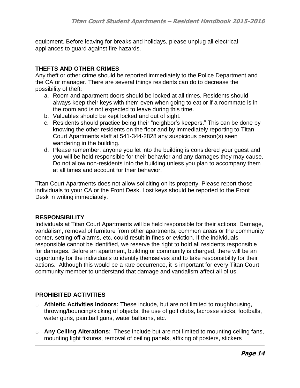equipment. Before leaving for breaks and holidays, please unplug all electrical appliances to guard against fire hazards.

#### **THEFTS AND OTHER CRIMES**

Any theft or other crime should be reported immediately to the Police Department and the CA or manager. There are several things residents can do to decrease the possibility of theft:

- a. Room and apartment doors should be locked at all times. Residents should always keep their keys with them even when going to eat or if a roommate is in the room and is not expected to leave during this time.
- b. Valuables should be kept locked and out of sight.
- c. Residents should practice being their "neighbor's keepers." This can be done by knowing the other residents on the floor and by immediately reporting to Titan Court Apartments staff at 541-344-2828 any suspicious person(s) seen wandering in the building.
- d. Please remember, anyone you let into the building is considered your guest and you will be held responsible for their behavior and any damages they may cause. Do not allow non-residents into the building unless you plan to accompany them at all times and account for their behavior.

Titan Court Apartments does not allow soliciting on its property. Please report those individuals to your CA or the Front Desk. Lost keys should be reported to the Front Desk in writing immediately.

# **RESPONSIBILITY**

Individuals at Titan Court Apartments will be held responsible for their actions. Damage, vandalism, removal of furniture from other apartments, common areas or the community center, setting off alarms, etc. could result in fines or eviction. If the individuals responsible cannot be identified, we reserve the right to hold all residents responsible for damages. Before an apartment, building or community is charged, there will be an opportunity for the individuals to identify themselves and to take responsibility for their actions. Although this would be a rare occurrence, it is important for every Titan Court community member to understand that damage and vandalism affect all of us.

# **PROHIBITED ACTIVITIES**

- o **Athletic Activities Indoors:** These include, but are not limited to roughhousing, throwing/bouncing/kicking of objects, the use of golf clubs, lacrosse sticks, footballs, water guns, paintball guns, water balloons, etc.
- o **Any Ceiling Alterations:** These include but are not limited to mounting ceiling fans, mounting light fixtures, removal of ceiling panels, affixing of posters, stickers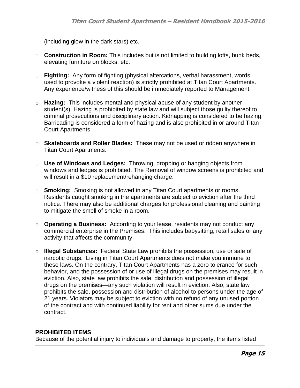(including glow in the dark stars) etc.

- o **Construction in Room:** This includes but is not limited to building lofts, bunk beds, elevating furniture on blocks, etc.
- o **Fighting:** Any form of fighting (physical altercations, verbal harassment, words used to provoke a violent reaction) is strictly prohibited at Titan Court Apartments. Any experience/witness of this should be immediately reported to Management.
- o **Hazing:** This includes mental and physical abuse of any student by another student(s). Hazing is prohibited by state law and will subject those guilty thereof to criminal prosecutions and disciplinary action. Kidnapping is considered to be hazing. Barricading is considered a form of hazing and is also prohibited in or around Titan Court Apartments.
- o **Skateboards and Roller Blades:** These may not be used or ridden anywhere in Titan Court Apartments.
- o **Use of Windows and Ledges:** Throwing, dropping or hanging objects from windows and ledges is prohibited. The Removal of window screens is prohibited and will result in a \$10 replacement/rehanging charge.
- o **Smoking:** Smoking is not allowed in any Titan Court apartments or rooms. Residents caught smoking in the apartments are subject to eviction after the third notice. There may also be additional charges for professional cleaning and painting to mitigate the smell of smoke in a room.
- o **Operating a Business:** According to your lease, residents may not conduct any commercial enterprise in the Premises. This includes babysitting, retail sales or any activity that affects the community.
- o **Illegal Substances:** Federal State Law prohibits the possession, use or sale of narcotic drugs. Living in Titan Court Apartments does not make you immune to these laws. On the contrary, Titan Court Apartments has a zero tolerance for such behavior, and the possession of or use of illegal drugs on the premises may result in eviction. Also, state law prohibits the sale, distribution and possession of illegal drugs on the premises—any such violation will result in eviction. Also, state law prohibits the sale, possession and distribution of alcohol to persons under the age of 21 years. Violators may be subject to eviction with no refund of any unused portion of the contract and with continued liability for rent and other sums due under the contract.

#### **PROHIBITED ITEMS**

Because of the potential injury to individuals and damage to property, the items listed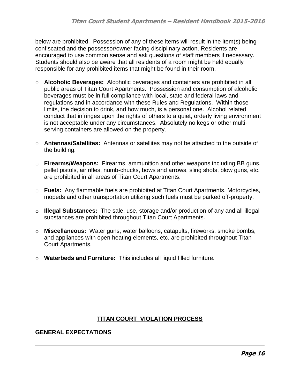below are prohibited. Possession of any of these items will result in the item(s) being confiscated and the possessor/owner facing disciplinary action. Residents are encouraged to use common sense and ask questions of staff members if necessary. Students should also be aware that all residents of a room might be held equally responsible for any prohibited items that might be found in their room.

- o **Alcoholic Beverages:** Alcoholic beverages and containers are prohibited in all public areas of Titan Court Apartments. Possession and consumption of alcoholic beverages must be in full compliance with local, state and federal laws and regulations and in accordance with these Rules and Regulations. Within those limits, the decision to drink, and how much, is a personal one. Alcohol related conduct that infringes upon the rights of others to a quiet, orderly living environment is not acceptable under any circumstances. Absolutely no kegs or other multiserving containers are allowed on the property.
- o **Antennas/Satellites:** Antennas or satellites may not be attached to the outside of the building.
- o **Firearms/Weapons:** Firearms, ammunition and other weapons including BB guns, pellet pistols, air rifles, numb-chucks, bows and arrows, sling shots, blow guns, etc. are prohibited in all areas of Titan Court Apartments.
- o **Fuels:** Any flammable fuels are prohibited at Titan Court Apartments. Motorcycles, mopeds and other transportation utilizing such fuels must be parked off-property.
- o **Illegal Substances:** The sale, use, storage and/or production of any and all illegal substances are prohibited throughout Titan Court Apartments.
- o **Miscellaneous:** Water guns, water balloons, catapults, fireworks, smoke bombs, and appliances with open heating elements, etc. are prohibited throughout Titan Court Apartments.
- o **Waterbeds and Furniture:** This includes all liquid filled furniture.

# **TITAN COURT VIOLATION PROCESS**

#### **GENERAL EXPECTATIONS**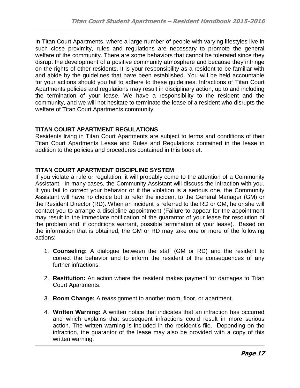In Titan Court Apartments, where a large number of people with varying lifestyles live in such close proximity, rules and regulations are necessary to promote the general welfare of the community. There are some behaviors that cannot be tolerated since they disrupt the development of a positive community atmosphere and because they infringe on the rights of other residents. It is your responsibility as a resident to be familiar with and abide by the guidelines that have been established. You will be held accountable for your actions should you fail to adhere to these guidelines. Infractions of Titan Court Apartments policies and regulations may result in disciplinary action, up to and including the termination of your lease. We have a responsibility to the resident and the community, and we will not hesitate to terminate the lease of a resident who disrupts the welfare of Titan Court Apartments community.

# **TITAN COURT APARTMENT REGULATIONS**

Residents living in Titan Court Apartments are subject to terms and conditions of their Titan Court Apartments Lease and Rules and Regulations contained in the lease in addition to the policies and procedures contained in this booklet.

# **TITAN COURT APARTMENT DISCIPLINE SYSTEM**

If you violate a rule or regulation, it will probably come to the attention of a Community Assistant. In many cases, the Community Assistant will discuss the infraction with you. If you fail to correct your behavior or if the violation is a serious one, the Community Assistant will have no choice but to refer the incident to the General Manager (GM) or the Resident Director (RD). When an incident is referred to the RD or GM, he or she will contact you to arrange a discipline appointment (Failure to appear for the appointment may result in the immediate notification of the guarantor of your lease for resolution of the problem and, if conditions warrant, possible termination of your lease). Based on the information that is obtained, the GM or RD may take one or more of the following actions:

- 1. **Counseling:** A dialogue between the staff (GM or RD) and the resident to correct the behavior and to inform the resident of the consequences of any further infractions.
- 2. **Restitution:** An action where the resident makes payment for damages to Titan Court Apartments.
- 3. **Room Change:** A reassignment to another room, floor, or apartment.
- 4. **Written Warning:** A written notice that indicates that an infraction has occurred and which explains that subsequent infractions could result in more serious action. The written warning is included in the resident's file. Depending on the infraction, the guarantor of the lease may also be provided with a copy of this written warning.